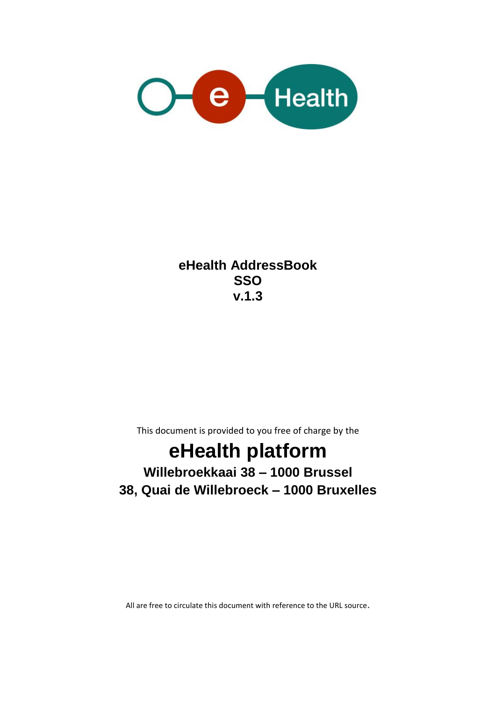

**eHealth AddressBook SSO v.1.3**

This document is provided to you free of charge by the

# **eHealth platform**

## **Willebroekkaai 38 – 1000 Brussel 38, Quai de Willebroeck – 1000 Bruxelles**

All are free to circulate this document with reference to the URL source.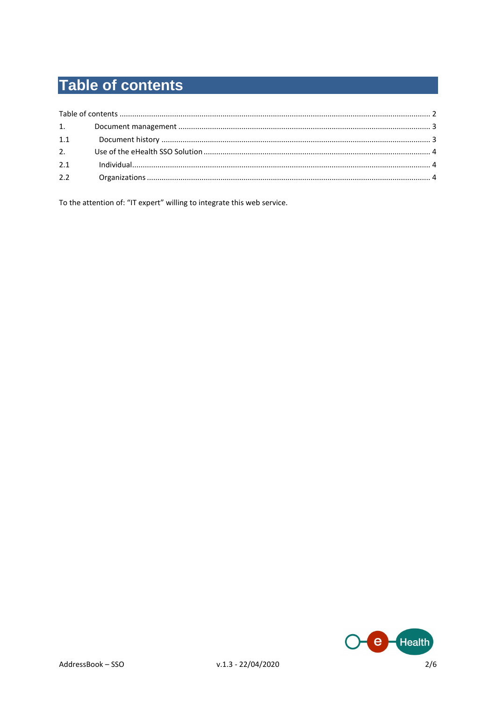# **Table of contents**

| 1.1 |  |
|-----|--|
| 2.  |  |
| 2.1 |  |
| 2.2 |  |

To the attention of: "IT expert" willing to integrate this web service.

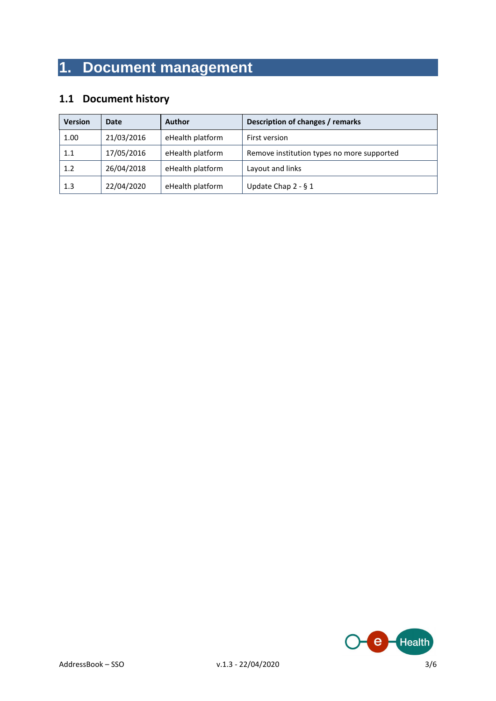## **1. Document management**

### **1.1 Document history**

| <b>Version</b> | Date       | <b>Author</b>    | Description of changes / remarks           |
|----------------|------------|------------------|--------------------------------------------|
| 1.00           | 21/03/2016 | eHealth platform | First version                              |
| 1.1            | 17/05/2016 | eHealth platform | Remove institution types no more supported |
| 1.2            | 26/04/2018 | eHealth platform | Layout and links                           |
| 1.3            | 22/04/2020 | eHealth platform | Update Chap $2 - 61$                       |

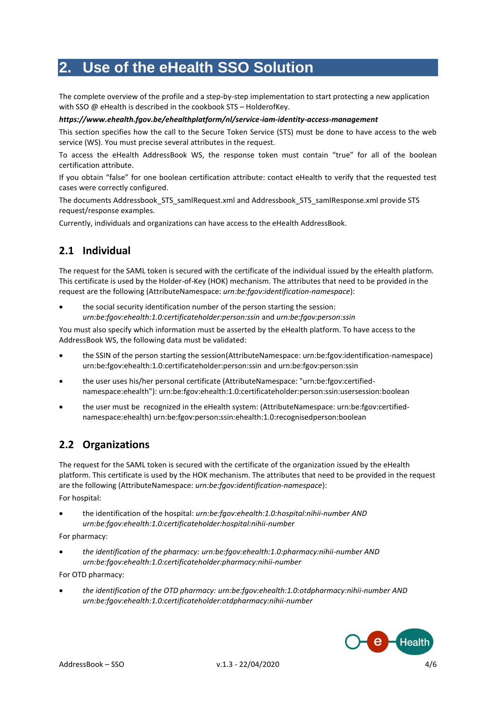### **2. Use of the eHealth SSO Solution**

The complete overview of the profile and a step-by-step implementation to start protecting a new application with SSO @ eHealth is described in the cookbook STS – HolderofKey.

#### *<https://www.ehealth.fgov.be/ehealthplatform/nl/service-iam-identity-access-management>*

This section specifies how the call to the Secure Token Service (STS) must be done to have access to the web service (WS). You must precise several attributes in the request.

To access the eHealth AddressBook WS, the response token must contain "true" for all of the boolean certification attribute.

If you obtain "false" for one boolean certification attribute: contact eHealth to verify that the requested test cases were correctly configured.

The documents Addressbook\_STS\_samlRequest.xml and Addressbook\_STS\_samlResponse.xml provide STS request/response examples.

Currently, individuals and organizations can have access to the eHealth AddressBook.

### **2.1 Individual**

The request for the SAML token is secured with the certificate of the individual issued by the eHealth platform. This certificate is used by the Holder-of-Key (HOK) mechanism. The attributes that need to be provided in the request are the following (AttributeNamespace: *urn:be:fgov:identification-namespace*):

 the social security identification number of the person starting the session: *urn:be:fgov:ehealth:1.0:certificateholder:person:ssin* and *urn:be:fgov:person:ssin*

You must also specify which information must be asserted by the eHealth platform. To have access to the AddressBook WS, the following data must be validated:

- the SSIN of the person starting the session(AttributeNamespace: urn:be:fgov:identification-namespace) urn:be:fgov:ehealth:1.0:certificateholder:person:ssin and urn:be:fgov:person:ssin
- the user uses his/her personal certificate (AttributeNamespace: "urn:be:fgov:certifiednamespace:ehealth"): urn:be:fgov:ehealth:1.0:certificateholder:person:ssin:usersession:boolean
- the user must be recognized in the eHealth system: (AttributeNamespace: urn:be:fgov:certifiednamespace:ehealth) urn:be:fgov:person:ssin:ehealth:1.0:recognisedperson:boolean

### **2.2 Organizations**

The request for the SAML token is secured with the certificate of the organization issued by the eHealth platform. This certificate is used by the HOK mechanism. The attributes that need to be provided in the request are the following (AttributeNamespace: *urn:be:fgov:identification-namespace*): For hospital:

 the identification of the hospital: *urn:be:fgov:ehealth:1.0:hospital:nihii-number AND urn:be:fgov:ehealth:1.0:certificateholder:hospital:nihii-number*

For pharmacy:

 *the identification of the pharmacy: urn:be:fgov:ehealth:1.0:pharmacy:nihii-number AND urn:be:fgov:ehealth:1.0:certificateholder:pharmacy:nihii-number*

For OTD pharmacy:

 *the identification of the OTD pharmacy: urn:be:fgov:ehealth:1.0:otdpharmacy:nihii-number AND urn:be:fgov:ehealth:1.0:certificateholder:otdpharmacy:nihii-number*

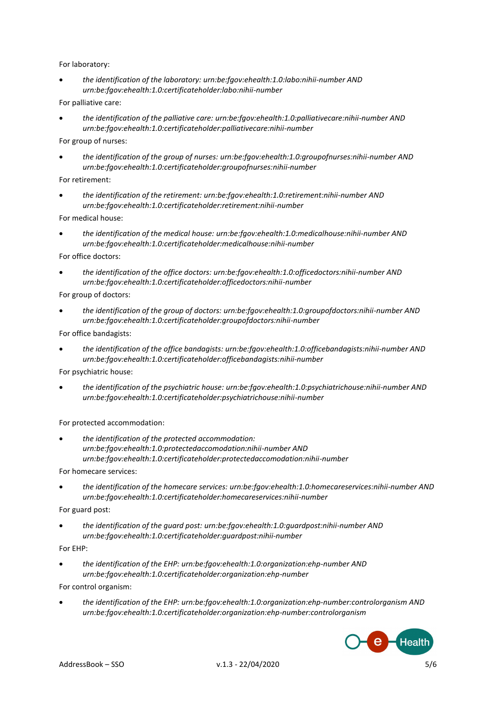#### For laboratory:

 *the identification of the laboratory: urn:be:fgov:ehealth:1.0:labo:nihii-number AND urn:be:fgov:ehealth:1.0:certificateholder:labo:nihii-number*

For palliative care:

 *the identification of the palliative care: urn:be:fgov:ehealth:1.0:palliativecare:nihii-number AND urn:be:fgov:ehealth:1.0:certificateholder:palliativecare:nihii-number*

For group of nurses:

 *the identification of the group of nurses: urn:be:fgov:ehealth:1.0:groupofnurses:nihii-number AND urn:be:fgov:ehealth:1.0:certificateholder:groupofnurses:nihii-number*

For retirement:

 *the identification of the retirement: urn:be:fgov:ehealth:1.0:retirement:nihii-number AND urn:be:fgov:ehealth:1.0:certificateholder:retirement:nihii-number*

For medical house:

 *the identification of the medical house: urn:be:fgov:ehealth:1.0:medicalhouse:nihii-number AND urn:be:fgov:ehealth:1.0:certificateholder:medicalhouse:nihii-number* 

For office doctors:

 *the identification of the office doctors: urn:be:fgov:ehealth:1.0:officedoctors:nihii-number AND urn:be:fgov:ehealth:1.0:certificateholder:officedoctors:nihii-number* 

For group of doctors:

 *the identification of the group of doctors: urn:be:fgov:ehealth:1.0:groupofdoctors:nihii-number AND urn:be:fgov:ehealth:1.0:certificateholder:groupofdoctors:nihii-number* 

For office bandagists:

 *the identification of the office bandagists: urn:be:fgov:ehealth:1.0:officebandagists:nihii-number AND urn:be:fgov:ehealth:1.0:certificateholder:officebandagists:nihii-number*

For psychiatric house:

 *the identification of the psychiatric house: urn:be:fgov:ehealth:1.0:psychiatrichouse:nihii-number AND urn:be:fgov:ehealth:1.0:certificateholder:psychiatrichouse:nihii-number*

For protected accommodation:

 *the identification of the protected accommodation: urn:be:fgov:ehealth:1.0:protectedaccomodation:nihii-number AND urn:be:fgov:ehealth:1.0:certificateholder:protectedaccomodation:nihii-number*

For homecare services:

 *the identification of the homecare services: urn:be:fgov:ehealth:1.0:homecareservices:nihii-number AND urn:be:fgov:ehealth:1.0:certificateholder:homecareservices:nihii-number*

For guard post:

 *the identification of the guard post: urn:be:fgov:ehealth:1.0:guardpost:nihii-number AND urn:be:fgov:ehealth:1.0:certificateholder:guardpost:nihii-number*

For EHP:

 *the identification of the EHP: urn:be:fgov:ehealth:1.0:organization:ehp-number AND urn:be:fgov:ehealth:1.0:certificateholder:organization:ehp-number*

For control organism:

 *the identification of the EHP: urn:be:fgov:ehealth:1.0:organization:ehp-number:controlorganism AND urn:be:fgov:ehealth:1.0:certificateholder:organization:ehp-number:controlorganism*